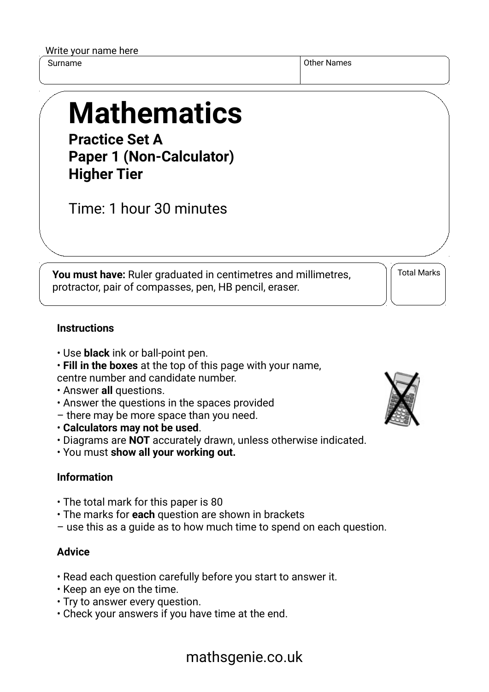| Write your name here |  |  |  |
|----------------------|--|--|--|
|----------------------|--|--|--|

Surname **Other Names** Other Names **Other Names** 

# **Mathematics**

**Practice Set A Paper 1 (Non-Calculator) Higher Tier**

Time: 1 hour 30 minutes

**You must have:** Ruler graduated in centimetres and millimetres, protractor, pair of compasses, pen, HB pencil, eraser.

Total Marks

### **Instructions**

- Use **black** ink or ball-point pen.
- **Fill in the boxes** at the top of this page with your name, centre number and candidate number.
- Answer **all** questions.
- Answer the questions in the spaces provided
- there may be more space than you need.
- **Calculators may not be used**.
- Diagrams are **NOT** accurately drawn, unless otherwise indicated.
- You must **show all your working out.**

### **Information**

- The total mark for this paper is 80
- The marks for **each** question are shown in brackets
- use this as a guide as to how much time to spend on each question.

#### **Advice**

- Read each question carefully before you start to answer it.
- Keep an eye on the time.
- Try to answer every question.
- Check your answers if you have time at the end.



## mathsgenie.co.uk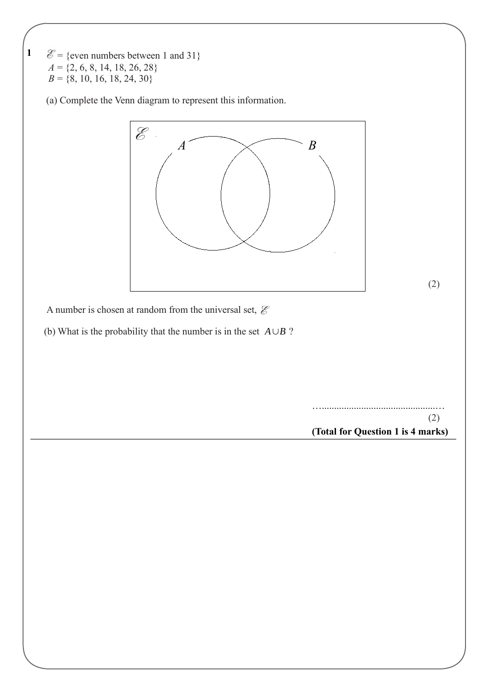$\mathscr{E} = \{\text{even numbers between 1 and 31}\}$  $A = \{2, 6, 8, 14, 18, 26, 28\}$  $B = \{8, 10, 16, 18, 24, 30\}$ 

**1** 

(a) Complete the Venn diagram to represent this information.

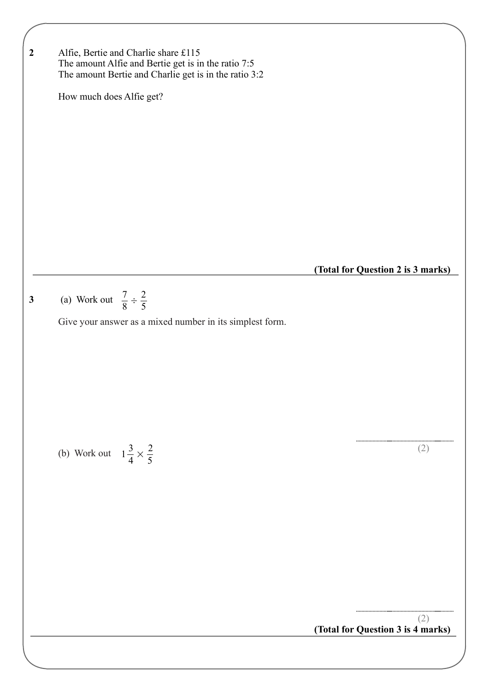7  $\frac{1}{8}$  ÷ 2 5 **3** (a) Work out Give your answer as a mixed number in its simplest form. (b) Work out  $1\frac{3}{4} \times \frac{2}{5}$  (2) **(Total for Question 3 is 4 marks)**  $\frac{5}{4}$   $\times$ 2 5 (2) **2** Alfie, Bertie and Charlie share £115 The amount Alfie and Bertie get is in the ratio 7:5 The amount Bertie and Charlie get is in the ratio 3:2 How much does Alfie get? **(Total for Question 2 is 3 marks)**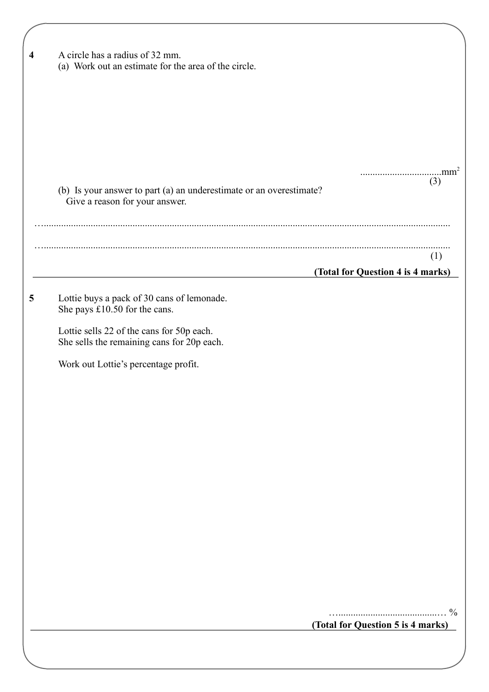| A circle has a radius of 32 mm.<br>(a) Work out an estimate for the area of the circle.               |                                          |
|-------------------------------------------------------------------------------------------------------|------------------------------------------|
|                                                                                                       |                                          |
|                                                                                                       |                                          |
|                                                                                                       |                                          |
| (b) Is your answer to part (a) an underestimate or an overestimate?<br>Give a reason for your answer. | (3)                                      |
|                                                                                                       |                                          |
|                                                                                                       | (1)<br>(Total for Question 4 is 4 marks) |
| Lottie buys a pack of 30 cans of lemonade.<br>She pays £10.50 for the cans.                           |                                          |
| Lottie sells 22 of the cans for 50p each.<br>She sells the remaining cans for 20p each.               |                                          |
| Work out Lottie's percentage profit.                                                                  |                                          |
|                                                                                                       |                                          |
|                                                                                                       |                                          |
|                                                                                                       |                                          |
|                                                                                                       |                                          |
|                                                                                                       |                                          |
|                                                                                                       |                                          |
|                                                                                                       |                                          |
|                                                                                                       |                                          |
|                                                                                                       | (Total for Question 5 is 4 marks)        |
|                                                                                                       |                                          |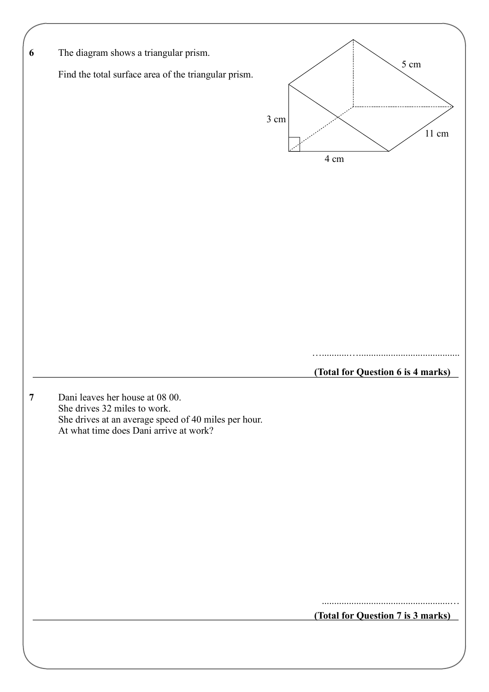| The diagram shows a triangular prism.                                                                                                                             |      |                                   |      |                 |
|-------------------------------------------------------------------------------------------------------------------------------------------------------------------|------|-----------------------------------|------|-----------------|
| Find the total surface area of the triangular prism.                                                                                                              |      |                                   | 5 cm |                 |
|                                                                                                                                                                   | 3 cm |                                   |      | $11 \text{ cm}$ |
|                                                                                                                                                                   |      | 4 cm                              |      |                 |
|                                                                                                                                                                   |      |                                   |      |                 |
|                                                                                                                                                                   |      |                                   |      |                 |
|                                                                                                                                                                   |      |                                   |      |                 |
|                                                                                                                                                                   |      | (Total for Question 6 is 4 marks) |      |                 |
| Dani leaves her house at 08 00.<br>She drives 32 miles to work.<br>She drives at an average speed of 40 miles per hour.<br>At what time does Dani arrive at work? |      |                                   |      |                 |
|                                                                                                                                                                   |      |                                   |      |                 |
|                                                                                                                                                                   |      |                                   |      |                 |
|                                                                                                                                                                   |      |                                   |      |                 |
|                                                                                                                                                                   |      |                                   |      |                 |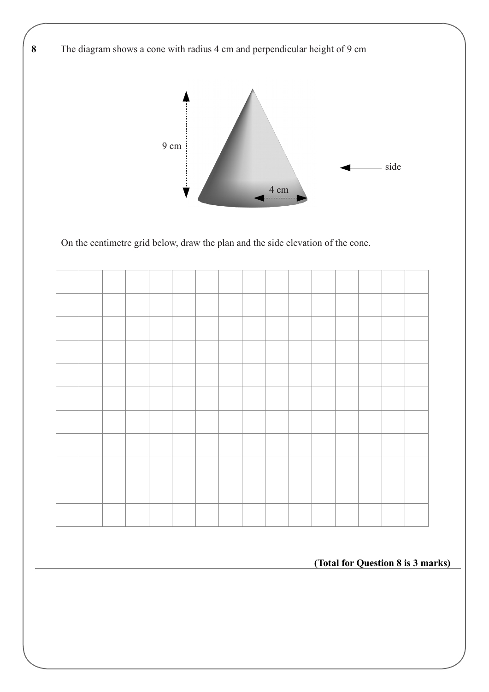**8** The diagram shows a cone with radius 4 cm and perpendicular height of 9 cm



On the centimetre grid below, draw the plan and the side elevation of the cone.

**(Total for Question 8 is 3 marks)**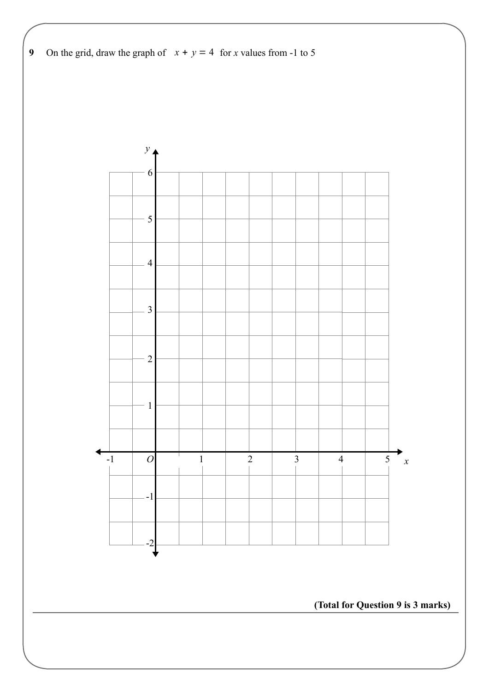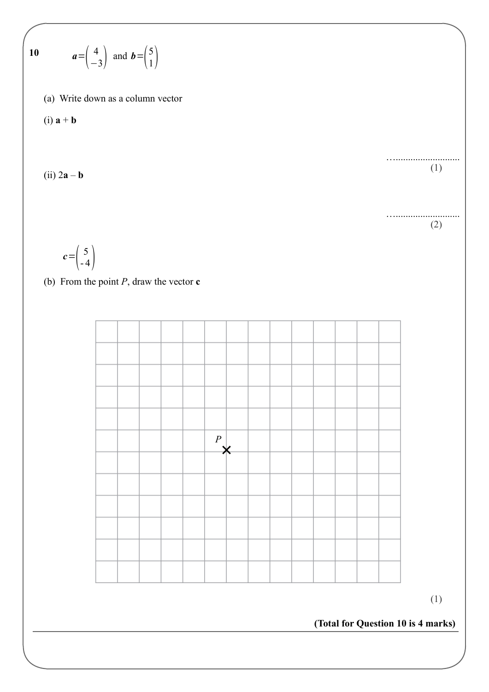$$
10 \t a = \begin{pmatrix} 4 \\ -3 \end{pmatrix} \text{ and } b = \begin{pmatrix} 5 \\ 1 \end{pmatrix}
$$

(a) Write down as a column vector

$$
(i) a + b
$$

$$
(ii) 2\mathbf{a} - \mathbf{b}
$$

(1)

…..........................

….......................... (2)

$$
c = \left(\begin{array}{c} 5 \\ -4 \end{array}\right)
$$

(b) From the point *P*, draw the vector **c**



(1)

**(Total for Question 10 is 4 marks)**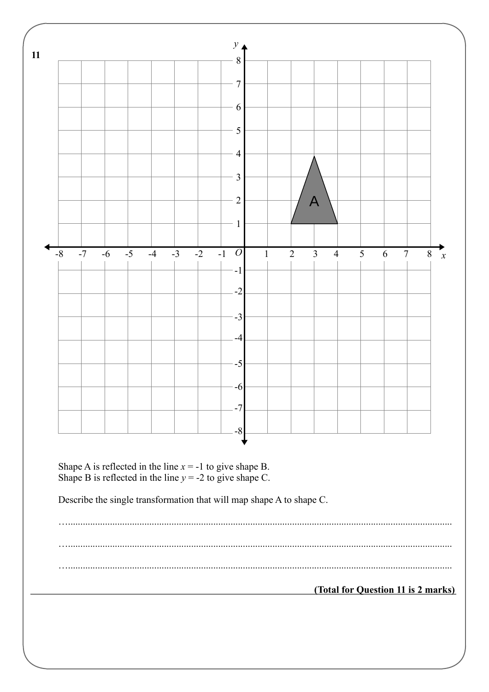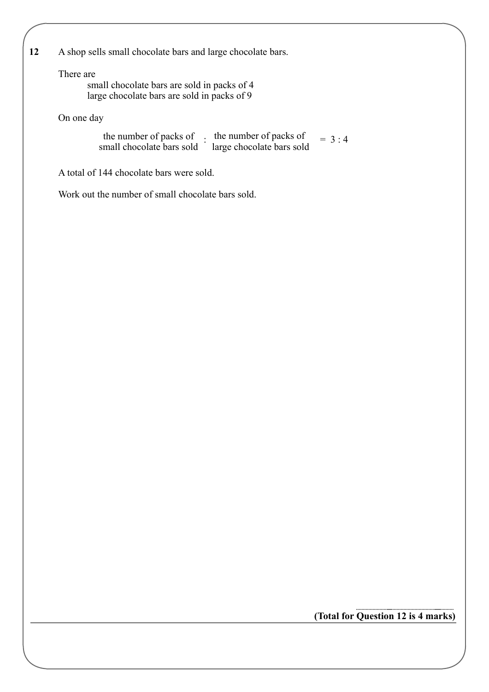**12** A shop sells small chocolate bars and large chocolate bars.

#### There are

small chocolate bars are sold in packs of 4 large chocolate bars are sold in packs of 9

On one day

: the number of packs of  $= 3:4$ large chocolate bars sold the number of packs of small chocolate bars sold

A total of 144 chocolate bars were sold.

Work out the number of small chocolate bars sold.

**(Total for Question 12 is 4 marks)**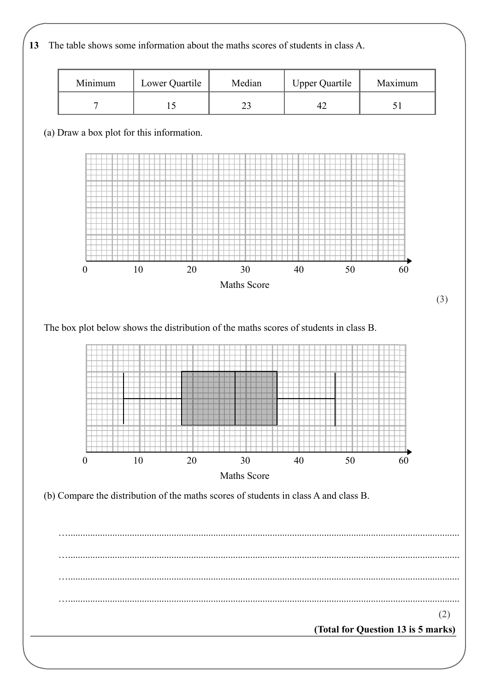**13** The table shows some information about the maths scores of students in class A.

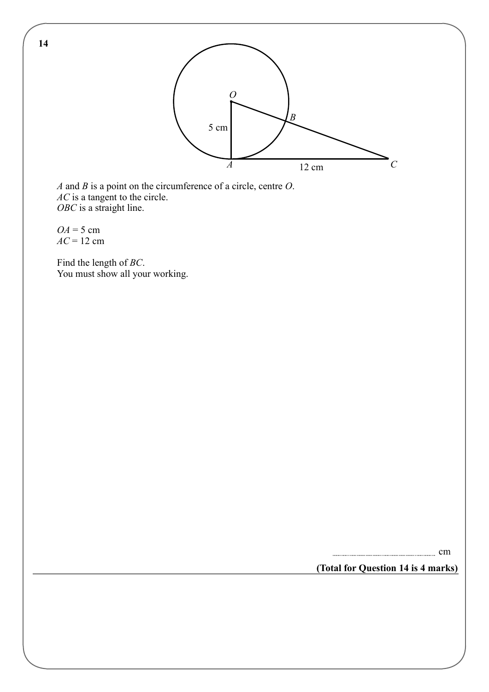

*A* and *B* is a point on the circumference of a circle, centre *O*. *AC* is a tangent to the circle. *OBC* is a straight line.

 $OA = 5$  cm *AC* = 12 cm

Find the length of *BC*. You must show all your working.

cm

**(Total for Question 14 is 4 marks)**

**14**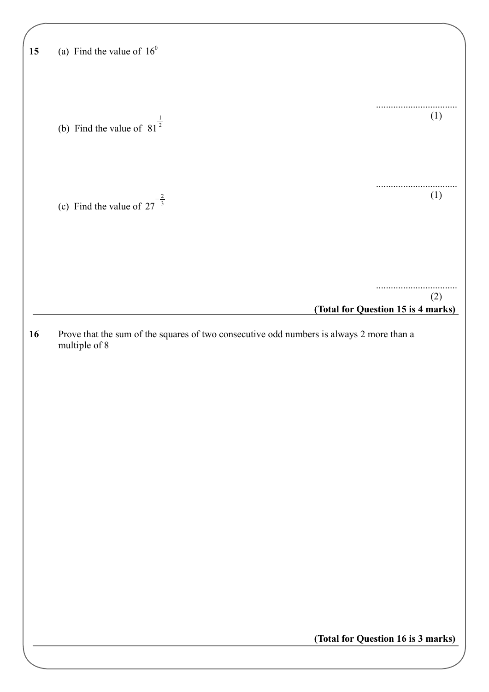| 15 | (a) Find the value of $16^0$                                                             |                                    |
|----|------------------------------------------------------------------------------------------|------------------------------------|
|    |                                                                                          |                                    |
|    |                                                                                          |                                    |
|    |                                                                                          |                                    |
|    | (b) Find the value of $81^{\frac{1}{2}}$                                                 | (1)                                |
|    |                                                                                          |                                    |
|    |                                                                                          |                                    |
|    |                                                                                          |                                    |
|    |                                                                                          | (1)                                |
|    | (c) Find the value of $27^{-\frac{2}{3}}$                                                |                                    |
|    |                                                                                          |                                    |
|    |                                                                                          |                                    |
|    |                                                                                          |                                    |
|    |                                                                                          |                                    |
|    |                                                                                          | (2)                                |
|    |                                                                                          | (Total for Question 15 is 4 marks) |
| 16 | Prove that the sum of the squares of two consecutive odd numbers is always 2 more than a |                                    |
|    | multiple of 8                                                                            |                                    |
|    |                                                                                          |                                    |
|    |                                                                                          |                                    |
|    |                                                                                          |                                    |
|    |                                                                                          |                                    |
|    |                                                                                          |                                    |
|    |                                                                                          |                                    |
|    |                                                                                          |                                    |
|    |                                                                                          |                                    |
|    |                                                                                          |                                    |
|    |                                                                                          |                                    |
|    |                                                                                          |                                    |
|    |                                                                                          |                                    |
|    |                                                                                          |                                    |
|    |                                                                                          |                                    |
|    |                                                                                          |                                    |
|    |                                                                                          |                                    |
|    |                                                                                          | (Total for Question 16 is 3 marks) |
|    |                                                                                          |                                    |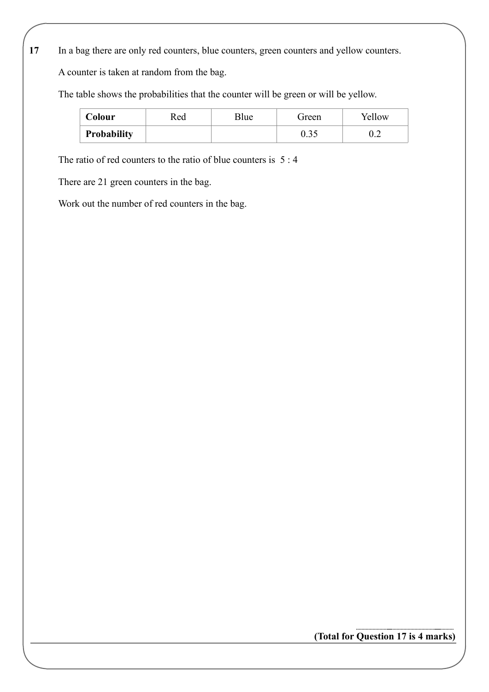**17** In a bag there are only red counters, blue counters, green counters and yellow counters.

A counter is taken at random from the bag.

The table shows the probabilities that the counter will be green or will be yellow.

| Colour             | Red | Blue | Green | Yellow |
|--------------------|-----|------|-------|--------|
| <b>Probability</b> |     |      | v.J.  | ∪.∠    |

The ratio of red counters to the ratio of blue counters is 5 : 4

There are 21 green counters in the bag.

Work out the number of red counters in the bag.

**(Total for Question 17 is 4 marks)**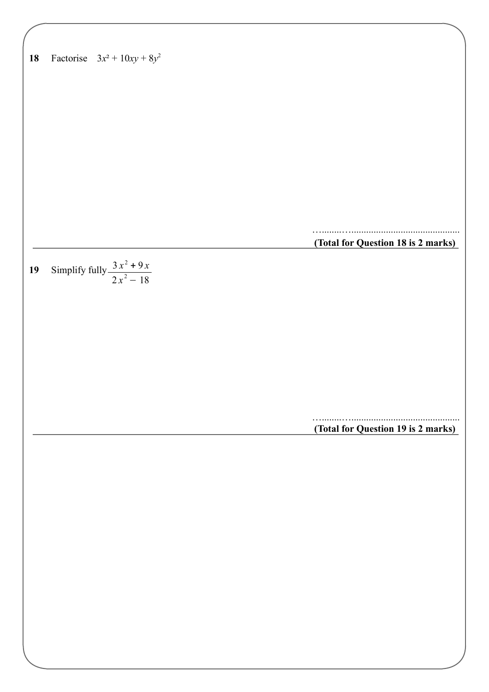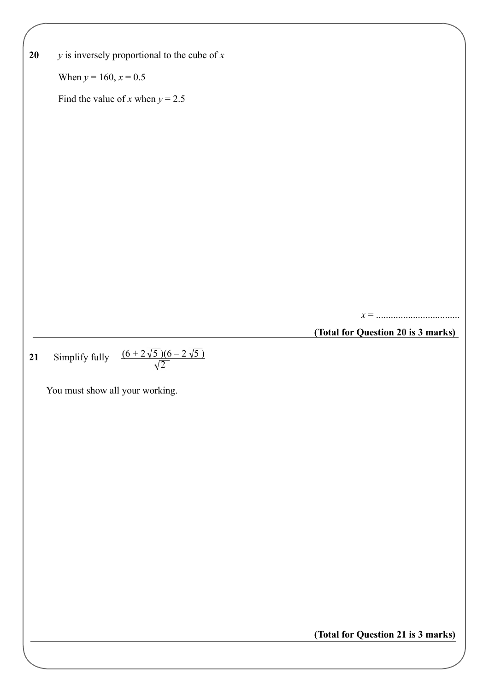| 20 | $y$ is inversely proportional to the cube of $x$             |                                    |
|----|--------------------------------------------------------------|------------------------------------|
|    | When $y = 160$ , $x = 0.5$                                   |                                    |
|    | Find the value of x when $y = 2.5$                           |                                    |
|    |                                                              |                                    |
|    |                                                              |                                    |
|    |                                                              |                                    |
|    |                                                              |                                    |
|    |                                                              |                                    |
|    |                                                              |                                    |
|    |                                                              |                                    |
|    |                                                              |                                    |
|    |                                                              |                                    |
|    |                                                              |                                    |
|    |                                                              | (Total for Question 20 is 3 marks) |
| 21 |                                                              |                                    |
|    | Simplify fully $\frac{(6+2\sqrt{5})(6-2\sqrt{5})}{\sqrt{2}}$ |                                    |
|    | You must show all your working.                              |                                    |
|    |                                                              |                                    |
|    |                                                              |                                    |
|    |                                                              |                                    |
|    |                                                              |                                    |
|    |                                                              |                                    |
|    |                                                              |                                    |
|    |                                                              |                                    |
|    |                                                              |                                    |
|    |                                                              |                                    |
|    |                                                              |                                    |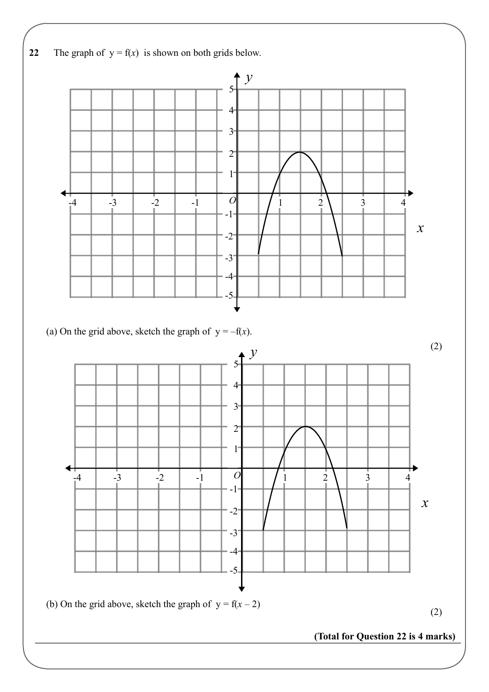